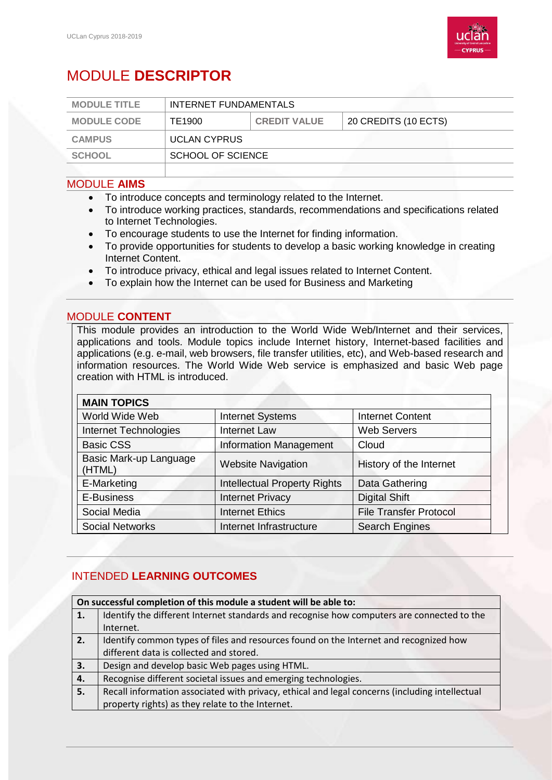

# MODULE **DESCRIPTOR**

| <b>MODULE TITLE</b> | INTERNET FUNDAMENTALS |                     |                      |
|---------------------|-----------------------|---------------------|----------------------|
| <b>MODULE CODE</b>  | TE1900                | <b>CREDIT VALUE</b> | 20 CREDITS (10 ECTS) |
| <b>CAMPUS</b>       | <b>UCLAN CYPRUS</b>   |                     |                      |
| <b>SCHOOL</b>       | SCHOOL OF SCIENCE     |                     |                      |
|                     |                       |                     |                      |

## MODULE **AIMS**

- To introduce concepts and terminology related to the Internet.
- To introduce working practices, standards, recommendations and specifications related to Internet Technologies.
- To encourage students to use the Internet for finding information.
- To provide opportunities for students to develop a basic working knowledge in creating Internet Content.
- To introduce privacy, ethical and legal issues related to Internet Content.
- To explain how the Internet can be used for Business and Marketing

## MODULE **CONTENT**

This module provides an introduction to the World Wide Web/Internet and their services, applications and tools. Module topics include Internet history, Internet-based facilities and applications (e.g. e-mail, web browsers, file transfer utilities, etc), and Web-based research and information resources. The World Wide Web service is emphasized and basic Web page creation with HTML is introduced.

| <b>MAIN TOPICS</b>               |                                     |                               |
|----------------------------------|-------------------------------------|-------------------------------|
| World Wide Web                   | <b>Internet Systems</b>             | <b>Internet Content</b>       |
| <b>Internet Technologies</b>     | <b>Internet Law</b>                 | <b>Web Servers</b>            |
| <b>Basic CSS</b>                 | <b>Information Management</b>       | Cloud                         |
| Basic Mark-up Language<br>(HTML) | <b>Website Navigation</b>           | History of the Internet       |
| E-Marketing                      | <b>Intellectual Property Rights</b> | Data Gathering                |
| E-Business                       | <b>Internet Privacy</b>             | <b>Digital Shift</b>          |
| Social Media                     | <b>Internet Ethics</b>              | <b>File Transfer Protocol</b> |
| <b>Social Networks</b>           | Internet Infrastructure             | <b>Search Engines</b>         |

## INTENDED **LEARNING OUTCOMES**

| On successful completion of this module a student will be able to: |                                                                                                |  |
|--------------------------------------------------------------------|------------------------------------------------------------------------------------------------|--|
| 1.                                                                 | Identify the different Internet standards and recognise how computers are connected to the     |  |
|                                                                    | Internet.                                                                                      |  |
| 2.                                                                 | Identify common types of files and resources found on the Internet and recognized how          |  |
|                                                                    | different data is collected and stored.                                                        |  |
| 3.                                                                 | Design and develop basic Web pages using HTML.                                                 |  |
| 4.                                                                 | Recognise different societal issues and emerging technologies.                                 |  |
| 5.                                                                 | Recall information associated with privacy, ethical and legal concerns (including intellectual |  |
|                                                                    | property rights) as they relate to the Internet.                                               |  |